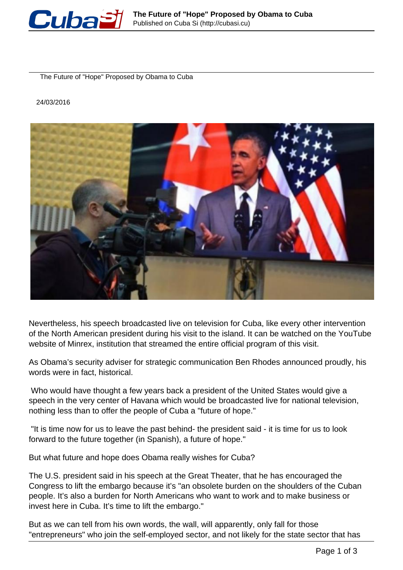

The Future of "Hope" Proposed by Obama to Cuba

## 24/03/2016



Nevertheless, his speech broadcasted live on television for Cuba, like every other intervention of the North American president during his visit to the island. It can be watched on the YouTube website of Minrex, institution that streamed the entire official program of this visit.

As Obama's security adviser for strategic communication Ben Rhodes announced proudly, his words were in fact, historical.

 Who would have thought a few years back a president of the United States would give a speech in the very center of Havana which would be broadcasted live for national television, nothing less than to offer the people of Cuba a "future of hope."

 "It is time now for us to leave the past behind- the president said - it is time for us to look forward to the future together (in Spanish), a future of hope."

But what future and hope does Obama really wishes for Cuba?

The U.S. president said in his speech at the Great Theater, that he has encouraged the Congress to lift the embargo because it's "an obsolete burden on the shoulders of the Cuban people. It's also a burden for North Americans who want to work and to make business or invest here in Cuba. It's time to lift the embargo."

But as we can tell from his own words, the wall, will apparently, only fall for those "entrepreneurs" who join the self-employed sector, and not likely for the state sector that has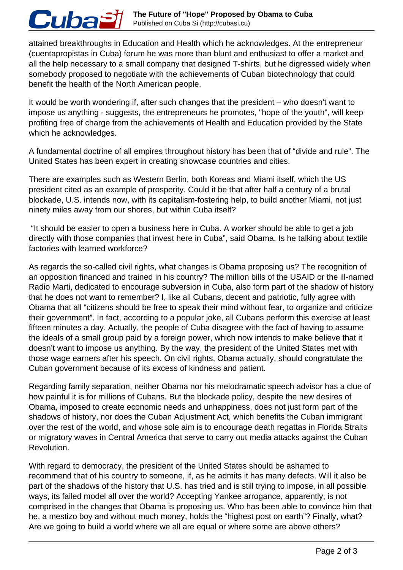## **The Future of "Hope" Proposed by Obama to Cuba** Cuba£ Published on Cuba Si (http://cubasi.cu)

attained breakthroughs in Education and Health which he acknowledges. At the entrepreneur (cuentapropistas in Cuba) forum he was more than blunt and enthusiast to offer a market and all the help necessary to a small company that designed T-shirts, but he digressed widely when somebody proposed to negotiate with the achievements of Cuban biotechnology that could benefit the health of the North American people.

It would be worth wondering if, after such changes that the president – who doesn't want to impose us anything - suggests, the entrepreneurs he promotes, "hope of the youth", will keep profiting free of charge from the achievements of Health and Education provided by the State which he acknowledges.

A fundamental doctrine of all empires throughout history has been that of "divide and rule". The United States has been expert in creating showcase countries and cities.

There are examples such as Western Berlin, both Koreas and Miami itself, which the US president cited as an example of prosperity. Could it be that after half a century of a brutal blockade, U.S. intends now, with its capitalism-fostering help, to build another Miami, not just ninety miles away from our shores, but within Cuba itself?

 "It should be easier to open a business here in Cuba. A worker should be able to get a job directly with those companies that invest here in Cuba", said Obama. Is he talking about textile factories with learned workforce?

As regards the so-called civil rights, what changes is Obama proposing us? The recognition of an opposition financed and trained in his country? The million bills of the USAID or the ill-named Radio Marti, dedicated to encourage subversion in Cuba, also form part of the shadow of history that he does not want to remember? I, like all Cubans, decent and patriotic, fully agree with Obama that all "citizens should be free to speak their mind without fear, to organize and criticize their government". In fact, according to a popular joke, all Cubans perform this exercise at least fifteen minutes a day. Actually, the people of Cuba disagree with the fact of having to assume the ideals of a small group paid by a foreign power, which now intends to make believe that it doesn't want to impose us anything. By the way, the president of the United States met with those wage earners after his speech. On civil rights, Obama actually, should congratulate the Cuban government because of its excess of kindness and patient.

Regarding family separation, neither Obama nor his melodramatic speech advisor has a clue of how painful it is for millions of Cubans. But the blockade policy, despite the new desires of Obama, imposed to create economic needs and unhappiness, does not just form part of the shadows of history, nor does the Cuban Adjustment Act, which benefits the Cuban immigrant over the rest of the world, and whose sole aim is to encourage death regattas in Florida Straits or migratory waves in Central America that serve to carry out media attacks against the Cuban Revolution.

With regard to democracy, the president of the United States should be ashamed to recommend that of his country to someone, if, as he admits it has many defects. Will it also be part of the shadows of the history that U.S. has tried and is still trying to impose, in all possible ways, its failed model all over the world? Accepting Yankee arrogance, apparently, is not comprised in the changes that Obama is proposing us. Who has been able to convince him that he, a mestizo boy and without much money, holds the "highest post on earth"? Finally, what? Are we going to build a world where we all are equal or where some are above others?